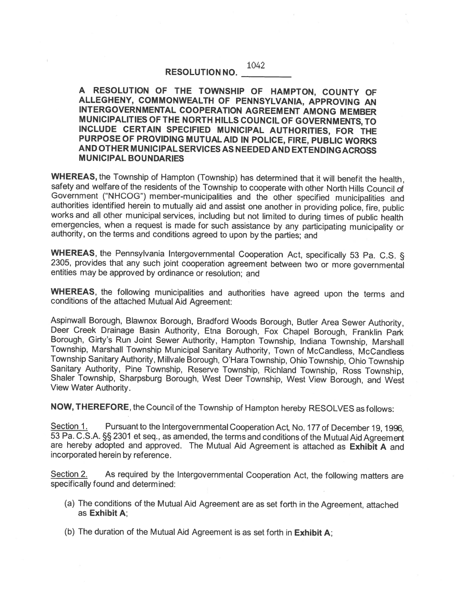1042

## RESOLUTION NO.

<sup>A</sup> RESOLUTION OF THE TOWNSHIP OF HAMPTON, COUNTY OF ALLEGHENY, COMMONWEALTH OF PENNSYLVANIA, APPROVING AN INTERGOVERNMENTAL COOPERATION AGREEMENT AMONG MEMBER MUNICIPALITIES OF THE NORTH HILLS COUNCIL OF GOVERNMENTS, TO INCLUDE CERTAIN SPECIFIED MUNICIPAL AUTHORITIES, FOR THE PURPOSE OF PROVIDING MUTUALAID IN POLICE, FIRE, PUBLIC WORKS AND OTHER MUNICIPAL SERVICES AS NEEDED AND EXTENDING ACROSS MUNICIPAL BOUNDARIES

WHEREAS, the Township of Hampton (Township) has determined that it will benefit the health, safety and welfare of the residents of the Township to cooperate with other North Hills Council of Government ("NHCOG") member-mun authorities identified herein to mutually aid and assist one another in providing police, fire, public works and all other municipal services, including but not limited to during times of public health emergencies, when a

WHEREAS, the Pennsylvania Intergovernmental Cooperation Act, specifically 53 Pa. C.S. § 2305, provides that any such joint cooperation agreement between two or more governmental entities may be approved by ordinance or res

WHEREAS, the following municipalities and authorities have agreed upon the terms and conditions of the attached Mutual Aid Agreement:

Aspinwall Borough, Blawnox Borough, Bradford Woods Borough, Butler Area Sewer Authority, Deer Creek Drainage Basin Authority, Etna Borough, Fox Chapel Borough, Franklin Park Borough, Girty's Run Joint Sewer Authority, Hamp Sanitary Authority, Pine Township, Reserve Township, Richland Township, Ross Township,<br>Shaler Township, Sharpsburg Borough, West Deer Township, West View Borough, and West View Water Authority.

NOW, THEREFORE, the Council of the Township of Hampton hereby RESOLVES as follows:

Section 1. Pursuant to the Intergovernmental Cooperation Act, No. 177 of December 19, 1996, 53 Pa. C.S.A. §§ 2301 et seq., as amended, the terms and conditions of the Mutual Aid Agreement are hereby adopted and approved. The Mutual Aid Agreement is attached as Exhibit A and incorporated herein by reference.

Section 2. As required by the Intergovernmental Cooperation Act, the following matters are specifically found and determined:

- (a) The conditions of the Mutual Aid Agreement are as set forth in the Agreement, attached as Exhibit A;
- (b) The duration of the Mutual Aid Agreement is as set forth in Exhibit A;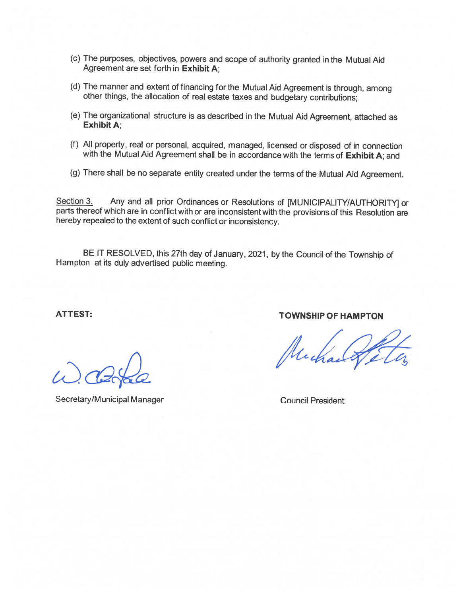- (c) The purposes, objectives, powers and scope of authority granted in the Mutual Aid Agreement are set forth in Exhibit A;
- (d) The manner and extent of financing for the Mutual Aid Agreement is through, among other things, the allocation of real estate taxes and budgetary contributions;
- (e) The organizational structure is as described in the Mutual Aid Agreement, attached as Exhibit A;
- (f) All property, real or personal, acquired, managed, licensed or disposed of in connection with the Mutual Aid Agreement shall be in accordance with the terms of Exhibit A; and
- (g) There shall be no separate entity created under the terms of the Mutual Aid Agreement.

Section 3. Any and all prior Ordinances or Resolutions of [MUNICIPALITY/AUTHORITY] or parts thereof which are in conflict with or are inconsistent with the provisions of this Resolution are hereby repealed to the extent of such conflict or inconsistency.

BE IT RESOLVED, this 27th day of January, 2021, by the Council of the Township of Hampton at its duly advertised public meeting.

Secretary/Municipal Manager Council President

ATTEST: TOWNSHIP OF HAMPTON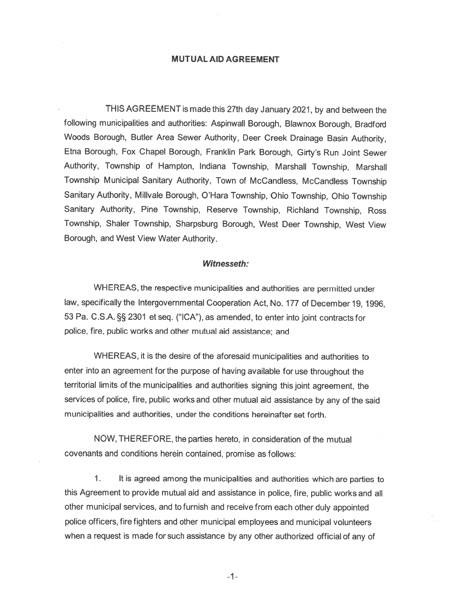## MUTUAL AID AGREEMENT

THIS AGREEMENT is made this 27th day January 2021, by and between the following municipalities and authorities: Aspinwall Borough, Blawnox Borough, Bradford Woods Borough, Butler Area Sewer Authority, Deer Creek Drainage Basin Authority, Etna Borough, Fox Chapel Borough, Franklin Park Borough, Girty's Run Joint Sewer Authority, Township of Hampton, Indiana Township, Marshall Township, Marshall Township Municipal Sanitary Authority, Town of McCandless, McCandless Township Sanitary Authority, Milivale Borough, O'Hara Township, Ohio Township, Ohio Township Sanitary Authority, Pine Township, Reserve Township, Richland Township, Ross Township, Shaler Township, Sharpsburg Borough, West Deer Township, West View Borough, and West View Water Authority.

## Witnesseth:

WHEREAS, the respective municipalities and authorities are permitted under law, specifically the Intergovernmental Cooperation Act, No. <sup>177</sup> of December 19, 1996, 53 Pa. C.S.A. §§ 2301 et seq. ("ICA"), as amended, to enter into joint contracts for police, fire, public works and other mutual aid assistance; and

WHEREAS, it is the desire of the aforesaid municipalities and authorities to enter into an agreemen<sup>t</sup> for the purpose of having available for use throughout the territorial limits of the municipalities and authorities signing this joint agreement, the services of police, fire, public works and other mutual aid assistance by any of the said municipalities and authorities, under the conditions hereinafter set forth.

NOW, THEREFORE, the parties hereto, in consideration of the mutual covenants and conditions herein contained, promise as follows:

1. It is agree<sup>d</sup> among the municipalities and authorities which are parties to this Agreement to provide mutual aid and assistance in police, fire, public works and all other municipal services, and to furnish and receive from each other duly appointed police officers, firefighters and other municipal employees and municipal volunteers when <sup>a</sup> reques<sup>t</sup> is made for such assistance by any other authorized official of any of

—1—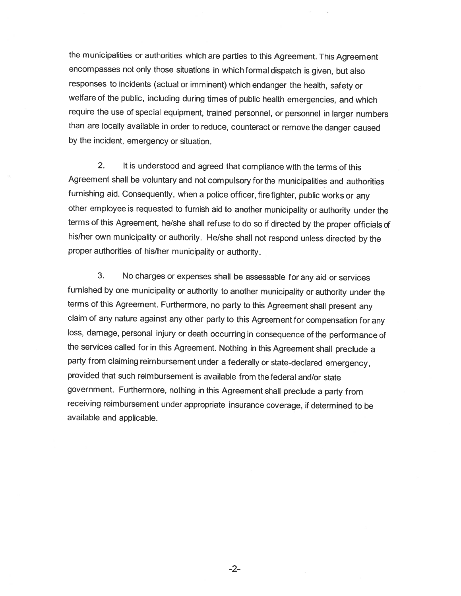the municipalities or authorities which are parties to this Agreement. This Agreement encompasses not only those situations in which formal dispatch is <sup>g</sup>iven, but also responses to incidents (actual or imminent) which endanger the health, safety or welfare of the public, including during times of public health emergencies, and which require the use of special equipment, trained personnel, or personnel in larger numbers than are locally available in order to reduce, counteract or remove the danger caused by the incident, emergency or situation.

2. It is understood and agreed that compliance with the terms of this Agreement shall be voluntary and not compulsory for the municipalities and authorities furnishing aid. Consequently, when <sup>a</sup> police officer, fire fighter, public works or any other employee is requested to furnish aid to another municipality or authority under the terms of this Agreement, he/she shall refuse to do so if directed by the proper officials of his/her own municipality or authority. He/she shall not respond unless directed by the proper authorities of his/her municipality or authority.

3. No charges or expenses shall be assessable for any aid or services furnished by one municipality or authority to another municipality or authority under the terms of this Agreement. Furthermore, no party to this Agreement shall present any claim of any nature against any other party to this Agreement for compensation for any loss, damage, personal injury or death occurring in consequence of the performance of the services called for in this Agreement. Nothing in this Agreement shall preclude <sup>a</sup> party from claiming reimbursement under <sup>a</sup> federally or state-declared emergency, provided that such reimbursement is available from the federal and/or state government. Furthermore, nothing in this Agreement shall preclude <sup>a</sup> party from receiving reimbursement under appropriate insurance coverage, if determined to be available and applicable.

-2-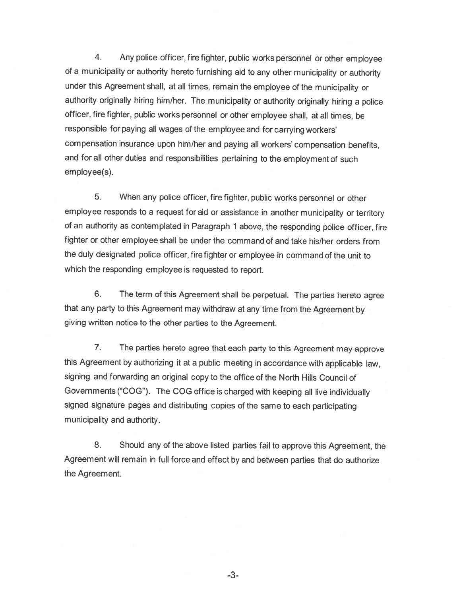4. Any police officer, fire fighter, public works personnel or other employee of <sup>a</sup> municipality or authority hereto furnishing aid to any other municipality or authority under this Agreement shall, at all times, remain the employee of the municipality or authority originally hiring him/her. The municipality or authority originally hiring <sup>a</sup> police officer, fire fighter, public works personnel or other employee shall, at all times, be responsible for paying all wages of the employee and for carrying workers' compensation insurance upon him/her and paying all workers' compensation benefits, and for all other duties and responsibilities pertaining to the employment of such employee(s).

5. When any police officer, fire fighter, public works personnel or other employee responds to <sup>a</sup> request for aid or assistance in another municipality or territory of an authority as contemplated in Paragraph <sup>1</sup> above, the responding police officer, fire fighter or other employee shall be under the command of and take his/her orders from the duly designated police officer, fire fighter or employee in command of the unit to which the responding employee is requested to report.

6. The term of this Agreement shall be perpetual. The parties hereto agree that any party to this Agreement may withdraw at any time from the Agreement by <sup>g</sup>iving written notice to the other parties to the Agreement.

7. The parties hereto agree that each party to this Agreement may approve this Agreement by authorizing it at <sup>a</sup> public meeting in accordance with applicable law, signing and forwarding an original copy to the office of the North Hills Council of Governments ("COG"). The COG office is charged with keeping all live individually signed signature pages and distributing copies of the same to each participating municipality and authority.

8. Should any of the above listed parties fail to approve this Agreement, the Agreement will remain in full force and effect by and between parties that do authorize the Agreement.

-3-